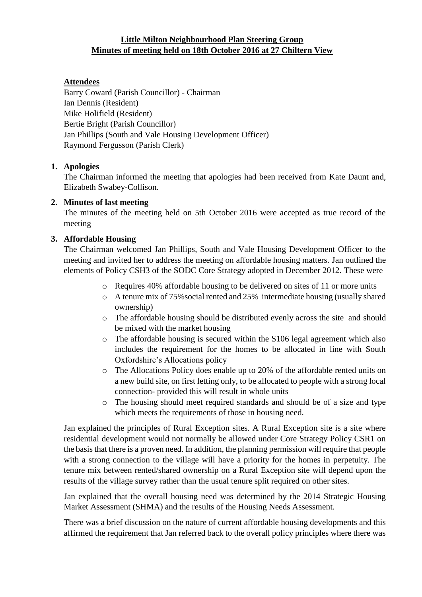# **Little Milton Neighbourhood Plan Steering Group Minutes of meeting held on 18th October 2016 at 27 Chiltern View**

# **Attendees**

Barry Coward (Parish Councillor) - Chairman Ian Dennis (Resident) Mike Holifield (Resident) Bertie Bright (Parish Councillor) Jan Phillips (South and Vale Housing Development Officer) Raymond Fergusson (Parish Clerk)

# **1. Apologies**

The Chairman informed the meeting that apologies had been received from Kate Daunt and, Elizabeth Swabey-Collison.

## **2. Minutes of last meeting**

The minutes of the meeting held on 5th October 2016 were accepted as true record of the meeting

## **3. Affordable Housing**

The Chairman welcomed Jan Phillips, South and Vale Housing Development Officer to the meeting and invited her to address the meeting on affordable housing matters. Jan outlined the elements of Policy CSH3 of the SODC Core Strategy adopted in December 2012. These were

- o Requires 40% affordable housing to be delivered on sites of 11 or more units
- o A tenure mix of 75%social rented and 25% intermediate housing (usually shared ownership)
- o The affordable housing should be distributed evenly across the site and should be mixed with the market housing
- o The affordable housing is secured within the S106 legal agreement which also includes the requirement for the homes to be allocated in line with South Oxfordshire's Allocations policy
- o The Allocations Policy does enable up to 20% of the affordable rented units on a new build site, on first letting only, to be allocated to people with a strong local connection- provided this will result in whole units
- o The housing should meet required standards and should be of a size and type which meets the requirements of those in housing need.

Jan explained the principles of Rural Exception sites. A Rural Exception site is a site where residential development would not normally be allowed under Core Strategy Policy CSR1 on the basis that there is a proven need. In addition, the planning permission will require that people with a strong connection to the village will have a priority for the homes in perpetuity. The tenure mix between rented/shared ownership on a Rural Exception site will depend upon the results of the village survey rather than the usual tenure split required on other sites.

Jan explained that the overall housing need was determined by the 2014 Strategic Housing Market Assessment (SHMA) and the results of the Housing Needs Assessment.

There was a brief discussion on the nature of current affordable housing developments and this affirmed the requirement that Jan referred back to the overall policy principles where there was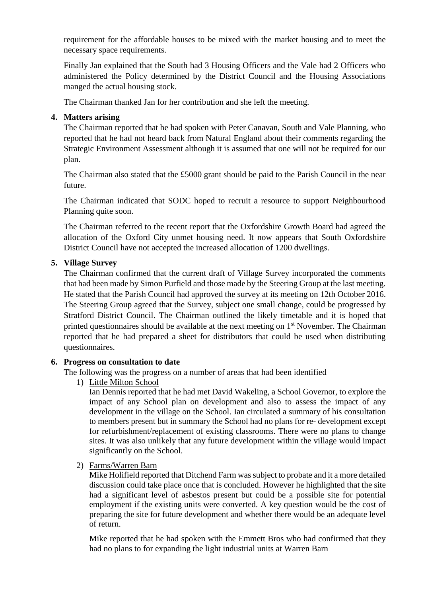requirement for the affordable houses to be mixed with the market housing and to meet the necessary space requirements.

Finally Jan explained that the South had 3 Housing Officers and the Vale had 2 Officers who administered the Policy determined by the District Council and the Housing Associations manged the actual housing stock.

The Chairman thanked Jan for her contribution and she left the meeting.

# **4. Matters arising**

The Chairman reported that he had spoken with Peter Canavan, South and Vale Planning, who reported that he had not heard back from Natural England about their comments regarding the Strategic Environment Assessment although it is assumed that one will not be required for our plan.

The Chairman also stated that the £5000 grant should be paid to the Parish Council in the near future.

The Chairman indicated that SODC hoped to recruit a resource to support Neighbourhood Planning quite soon.

The Chairman referred to the recent report that the Oxfordshire Growth Board had agreed the allocation of the Oxford City unmet housing need. It now appears that South Oxfordshire District Council have not accepted the increased allocation of 1200 dwellings.

## **5. Village Survey**

The Chairman confirmed that the current draft of Village Survey incorporated the comments that had been made by Simon Purfield and those made by the Steering Group at the last meeting. He stated that the Parish Council had approved the survey at its meeting on 12th October 2016. The Steering Group agreed that the Survey, subject one small change, could be progressed by Stratford District Council. The Chairman outlined the likely timetable and it is hoped that printed questionnaires should be available at the next meeting on  $1<sup>st</sup>$  November. The Chairman reported that he had prepared a sheet for distributors that could be used when distributing questionnaires.

#### **6. Progress on consultation to date**

The following was the progress on a number of areas that had been identified

1) Little Milton School

Ian Dennis reported that he had met David Wakeling, a School Governor, to explore the impact of any School plan on development and also to assess the impact of any development in the village on the School. Ian circulated a summary of his consultation to members present but in summary the School had no plans for re- development except for refurbishment/replacement of existing classrooms. There were no plans to change sites. It was also unlikely that any future development within the village would impact significantly on the School.

2) Farms/Warren Barn

Mike Holifield reported that Ditchend Farm was subject to probate and it a more detailed discussion could take place once that is concluded. However he highlighted that the site had a significant level of asbestos present but could be a possible site for potential employment if the existing units were converted. A key question would be the cost of preparing the site for future development and whether there would be an adequate level of return.

Mike reported that he had spoken with the Emmett Bros who had confirmed that they had no plans to for expanding the light industrial units at Warren Barn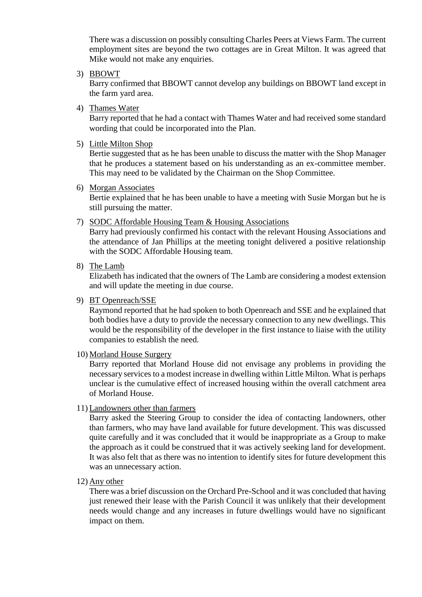There was a discussion on possibly consulting Charles Peers at Views Farm. The current employment sites are beyond the two cottages are in Great Milton. It was agreed that Mike would not make any enquiries.

3) BBOWT

Barry confirmed that BBOWT cannot develop any buildings on BBOWT land except in the farm yard area.

4) Thames Water

Barry reported that he had a contact with Thames Water and had received some standard wording that could be incorporated into the Plan.

5) Little Milton Shop

Bertie suggested that as he has been unable to discuss the matter with the Shop Manager that he produces a statement based on his understanding as an ex-committee member. This may need to be validated by the Chairman on the Shop Committee.

6) Morgan Associates

Bertie explained that he has been unable to have a meeting with Susie Morgan but he is still pursuing the matter.

7) SODC Affordable Housing Team & Housing Associations

Barry had previously confirmed his contact with the relevant Housing Associations and the attendance of Jan Phillips at the meeting tonight delivered a positive relationship with the SODC Affordable Housing team.

8) The Lamb

Elizabeth has indicated that the owners of The Lamb are considering a modest extension and will update the meeting in due course.

9) BT Openreach/SSE

Raymond reported that he had spoken to both Openreach and SSE and he explained that both bodies have a duty to provide the necessary connection to any new dwellings. This would be the responsibility of the developer in the first instance to liaise with the utility companies to establish the need.

10) Morland House Surgery

Barry reported that Morland House did not envisage any problems in providing the necessary services to a modest increase in dwelling within Little Milton. What is perhaps unclear is the cumulative effect of increased housing within the overall catchment area of Morland House.

11) Landowners other than farmers

Barry asked the Steering Group to consider the idea of contacting landowners, other than farmers, who may have land available for future development. This was discussed quite carefully and it was concluded that it would be inappropriate as a Group to make the approach as it could be construed that it was actively seeking land for development. It was also felt that as there was no intention to identify sites for future development this was an unnecessary action.

12) Any other

There was a brief discussion on the Orchard Pre-School and it was concluded that having just renewed their lease with the Parish Council it was unlikely that their development needs would change and any increases in future dwellings would have no significant impact on them.